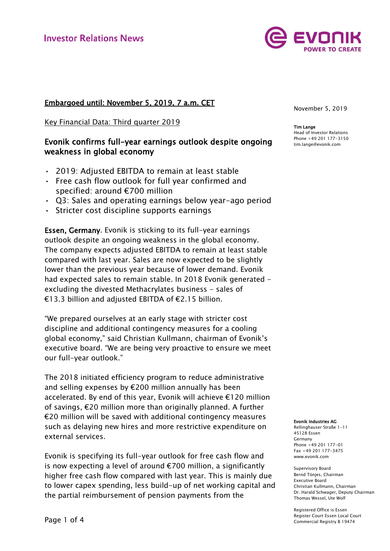

# Embargoed until: November 5, 2019, 7 a.m. CET

Key Financial Data: Third quarter 2019

# Evonik confirms full-year earnings outlook despite ongoing weakness in global economy

- 2019: Adjusted EBITDA to remain at least stable
- Free cash flow outlook for full year confirmed and specified: around €700 million
- Q3: Sales and operating earnings below year-ago period
- Stricter cost discipline supports earnings

Essen, Germany. Evonik is sticking to its full-year earnings outlook despite an ongoing weakness in the global economy. The company expects adjusted EBITDA to remain at least stable compared with last year. Sales are now expected to be slightly lower than the previous year because of lower demand. Evonik had expected sales to remain stable. In 2018 Evonik generated excluding the divested Methacrylates business - sales of €13.3 billion and adjusted EBITDA of €2.15 billion.

"We prepared ourselves at an early stage with stricter cost discipline and additional contingency measures for a cooling global economy," said Christian Kullmann, chairman of Evonik's executive board. "We are being very proactive to ensure we meet our full-year outlook."

The 2018 initiated efficiency program to reduce administrative and selling expenses by €200 million annually has been accelerated. By end of this year, Evonik will achieve €120 million of savings, €20 million more than originally planned. A further €20 million will be saved with additional contingency measures such as delaying new hires and more restrictive expenditure on external services.

Evonik is specifying its full-year outlook for free cash flow and is now expecting a level of around  $E$ 700 million, a significantly higher free cash flow compared with last year. This is mainly due to lower capex spending, less build-up of net working capital and the partial reimbursement of pension payments from the

November 5, 2019

Tim Lange Head of Investor Relations Phone +49 201 177-3150 tim.lange@evonik.com

#### Evonik Industries AG

Rellinghauser Straße 1-11 45128 Essen Germany Phone +49 201 177-01 Fax +49 201 177-3475 www.evonik.com

Supervisory Board Bernd Tönjes, Chairman Executive Board Christian Kullmann, Chairman Dr. Harald Schwager, Deputy Chairman Thomas Wessel, Ute Wolf

Registered Office is Essen Register Court Essen Local Court Commercial Registry B 19474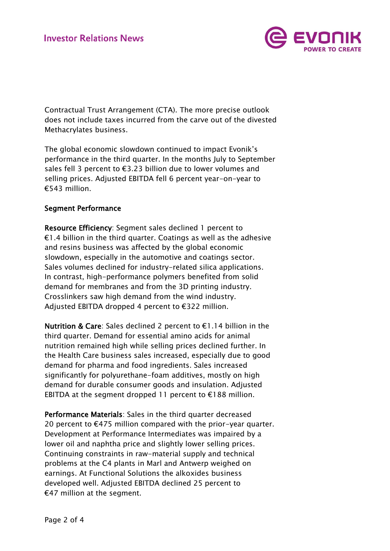

Contractual Trust Arrangement (CTA). The more precise outlook does not include taxes incurred from the carve out of the divested Methacrylates business.

The global economic slowdown continued to impact Evonik's performance in the third quarter. In the months July to September sales fell 3 percent to €3.23 billion due to lower volumes and selling prices. Adjusted EBITDA fell 6 percent year-on-year to €543 million.

## Segment Performance

Resource Efficiency: Segment sales declined 1 percent to €1.4 billion in the third quarter. Coatings as well as the adhesive and resins business was affected by the global economic slowdown, especially in the automotive and coatings sector. Sales volumes declined for industry-related silica applications. In contrast, high-performance polymers benefited from solid demand for membranes and from the 3D printing industry. Crosslinkers saw high demand from the wind industry. Adjusted EBITDA dropped 4 percent to €322 million.

Nutrition & Care: Sales declined 2 percent to €1.14 billion in the third quarter. Demand for essential amino acids for animal nutrition remained high while selling prices declined further. In the Health Care business sales increased, especially due to good demand for pharma and food ingredients. Sales increased significantly for polyurethane-foam additives, mostly on high demand for durable consumer goods and insulation. Adjusted EBITDA at the segment dropped 11 percent to  $E188$  million.

Performance Materials: Sales in the third quarter decreased 20 percent to  $E$ 475 million compared with the prior-year quarter. Development at Performance Intermediates was impaired by a lower oil and naphtha price and slightly lower selling prices. Continuing constraints in raw-material supply and technical problems at the C4 plants in Marl and Antwerp weighed on earnings. At Functional Solutions the alkoxides business developed well. Adjusted EBITDA declined 25 percent to €47 million at the segment.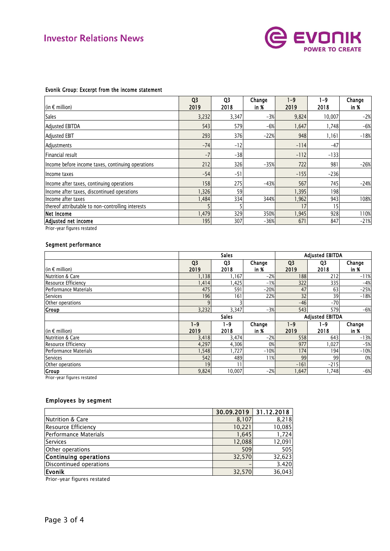

| $ $ (in € million)                                | Q <sub>3</sub><br>2019 | Q <sub>3</sub><br>2018 | Change<br>in % | $1 - 9$<br>2019 | 1-9<br>2018 | Change<br>in % |
|---------------------------------------------------|------------------------|------------------------|----------------|-----------------|-------------|----------------|
| <b>Sales</b>                                      | 3,232                  | 3,347                  | $-3%$          | 9,824           | 10,007      | $-2%$          |
| Adjusted EBITDA                                   | 543                    | 579                    | $-6%$          | 1,647           | 1,748       | $-6%$          |
| Adjusted EBIT                                     | 293                    | 376                    | $-22%$         | 948             | 1,161       | $-18%$         |
| Adjustments                                       | $-74$                  | $-12$                  |                | $-114$          | $-47$       |                |
| Financial result                                  | $-7$                   | $-38$                  |                | $-112$          | $-133$      |                |
| Income before income taxes, continuing operations | 212                    | 326                    | $-35%$         | 722             | 981         | $-26%$         |
| llncome taxes                                     | $-54$                  | $-51$                  |                | $-155$          | $-236$      |                |
| Income after taxes, continuing operations         | 158                    | 275                    | $-43%$         | 567             | 745         | $-24%$         |
| Income after taxes, discontinued operations       | 1,326                  | 59                     |                | 1,395           | 198         |                |
| Income after taxes                                | 1,484                  | 334                    | 344%           | 1,962           | 943         | 108%           |
| thereof attributable to non-controlling interests |                        |                        |                | 17              | 15          |                |
| Net Income                                        | 1,479                  | 329                    | 350%           | 1,945           | 928         | 110%           |
| Adjusted net income                               | 195                    | 307                    | $-36%$         | 671             | 847         | $-21%$         |

### Evonik Group: Excerpt from the income statement

### Segment performance

| Segment performance   |                        |                 |                |                        |                        |                |  |
|-----------------------|------------------------|-----------------|----------------|------------------------|------------------------|----------------|--|
|                       |                        | <b>Sales</b>    |                |                        | <b>Adjusted EBITDA</b> |                |  |
| $ $ (in € million)    | Q <sub>3</sub><br>2019 | Q3<br>2018      | Change<br>in % | Q <sub>3</sub><br>2019 | Q3<br>2018             | Change<br>in % |  |
| Nutrition & Care      | 1,138                  | 1,167           | $-2%$          | 188                    | 212                    | $-11%$         |  |
| Resource Efficiency   | 1,414                  | .425            | $-1%$          | 322                    | 335                    | $-4%$          |  |
| Performance Materials | 475                    | 591             | $-20%$         | 47                     | 63                     | $-25%$         |  |
| Services              | 196                    | 161             | 22%            | 32                     | 39                     | $-18%$         |  |
| Other operations      |                        |                 |                | $-46$                  | $-70$                  |                |  |
| Group                 | 3,232                  | 3,347           | $-3%$          | 543                    | 579                    | $-6%$          |  |
|                       |                        | <b>Sales</b>    |                |                        | <b>Adjusted EBITDA</b> |                |  |
| $ $ (in € million)    | $1 - 9$<br>2019        | $1 - 9$<br>2018 | Change<br>in % | $1 - 9$<br>2019        | $1 - 9$<br>2018        | Change<br>in % |  |
| Nutrition & Care      | 3,418                  | 3,474           | $-2%$          | 558                    | 643                    | $-13%$         |  |
| Resource Efficiency   | 4,297                  | 4,306           | 0%             | 977                    | 1,027                  | $-5%$          |  |
| Performance Materials | 1,548                  | 1,727           | $-10%$         | 174                    | 194                    | $-10%$         |  |
| Services              | 542                    | 489             | 11%            | 99                     | 99                     | 0%             |  |
| Other operations      | 19                     | 11              |                | $-161$                 | $-215$                 |                |  |
| Group                 | 9,824                  | 10,007          | $-2%$          | 1,647                  | 1,748                  | $-6%$          |  |

**Prior-year figures restated** 

### Employees by segment

|                             |        | $30.09.2019$   31.12.2018 |
|-----------------------------|--------|---------------------------|
| <b>Nutrition &amp; Care</b> | 8,107  | 8,218                     |
| Resource Efficiency         | 10,221 | 10,085                    |
| Performance Materials       | 1.645  | 1,724                     |
| Services                    | 12,088 | 12,091                    |
| Other operations            | 509    | 505                       |
| Continuing operations       | 32,570 | 32,623                    |
| Discontinued operations     | -      | 3.420                     |
| Evonik                      | 32,570 | 36,043                    |

Prior-year figures restated